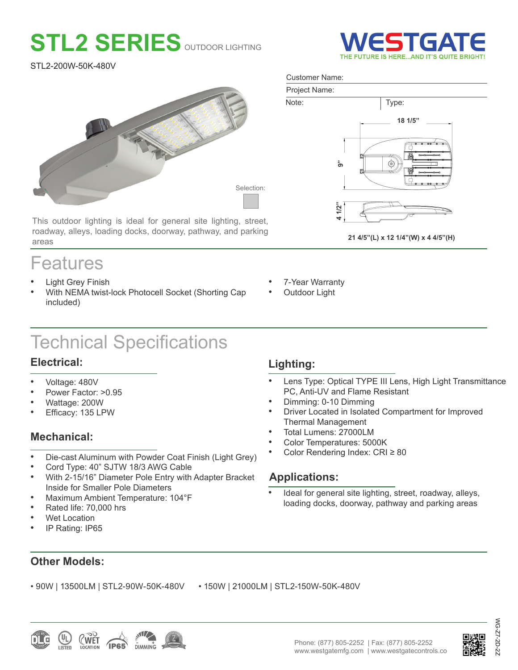# **STL2 SERIES** OUTDOOR LIGHTING

STL2-200W-50K-480V



This outdoor lighting is ideal for general site lighting, street, roadway, alleys, loading docks, doorway, pathway, and parking areas

# Features

- **Light Grey Finish**
- With NEMA twist-lock Photocell Socket (Shorting Cap included)

# Technical Specifications

# **Electrical:**

- Voltage: 480V
- Power Factor: >0.95
- Wattage: 200W
- Efficacy: 135 LPW

# **Mechanical:**

- Die-cast Aluminum with Powder Coat Finish (Light Grey)
- Cord Type: 40" SJTW 18/3 AWG Cable
- With 2-15/16" Diameter Pole Entry with Adapter Bracket Inside for Smaller Pole Diameters
- Maximum Ambient Temperature: 104°F
- Rated life: 70,000 hrs
- Wet Location
- IP Rating: IP65

# **Lighting:**

- Lens Type: Optical TYPE III Lens, High Light Transmittance PC, Anti-UV and Flame Resistant
- Dimming: 0-10 Dimming
- Driver Located in Isolated Compartment for Improved Thermal Management
- Total Lumens: 27000LM
- Color Temperatures: 5000K
- Color Rendering Index: CRI ≥ 80

# **Applications:**

Ideal for general site lighting, street, roadway, alleys, loading docks, doorway, pathway and parking areas

**Other Models:**

• 90W | 13500LM | STL2-90W-50K-480V • 150W | 21000LM | STL2-150W-50K-480V





WG-Z7-2D-2Z

-2



#### Customer Name:



**21 4/5"(L) x 12 1/4"(W) x 4 4/5"(H)**



**Outdoor Light**